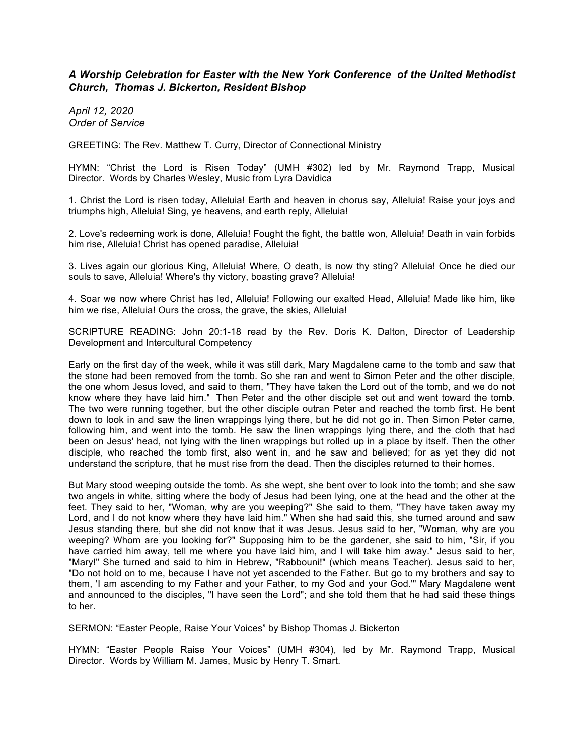## *A Worship Celebration for Easter with the New York Conference of the United Methodist Church, Thomas J. Bickerton, Resident Bishop*

*April 12, 2020 Order of Service*

GREETING: The Rev. Matthew T. Curry, Director of Connectional Ministry

HYMN: "Christ the Lord is Risen Today" (UMH #302) led by Mr. Raymond Trapp, Musical Director. Words by Charles Wesley, Music from Lyra Davidica

1. Christ the Lord is risen today, Alleluia! Earth and heaven in chorus say, Alleluia! Raise your joys and triumphs high, Alleluia! Sing, ye heavens, and earth reply, Alleluia!

2. Love's redeeming work is done, Alleluia! Fought the fight, the battle won, Alleluia! Death in vain forbids him rise, Alleluia! Christ has opened paradise, Alleluia!

3. Lives again our glorious King, Alleluia! Where, O death, is now thy sting? Alleluia! Once he died our souls to save, Alleluia! Where's thy victory, boasting grave? Alleluia!

4. Soar we now where Christ has led, Alleluia! Following our exalted Head, Alleluia! Made like him, like him we rise, Alleluia! Ours the cross, the grave, the skies, Alleluia!

SCRIPTURE READING: John 20:1-18 read by the Rev. Doris K. Dalton, Director of Leadership Development and Intercultural Competency

Early on the first day of the week, while it was still dark, Mary Magdalene came to the tomb and saw that the stone had been removed from the tomb. So she ran and went to Simon Peter and the other disciple, the one whom Jesus loved, and said to them, "They have taken the Lord out of the tomb, and we do not know where they have laid him." Then Peter and the other disciple set out and went toward the tomb. The two were running together, but the other disciple outran Peter and reached the tomb first. He bent down to look in and saw the linen wrappings lying there, but he did not go in. Then Simon Peter came, following him, and went into the tomb. He saw the linen wrappings lying there, and the cloth that had been on Jesus' head, not lying with the linen wrappings but rolled up in a place by itself. Then the other disciple, who reached the tomb first, also went in, and he saw and believed; for as yet they did not understand the scripture, that he must rise from the dead. Then the disciples returned to their homes.

But Mary stood weeping outside the tomb. As she wept, she bent over to look into the tomb; and she saw two angels in white, sitting where the body of Jesus had been lying, one at the head and the other at the feet. They said to her, "Woman, why are you weeping?" She said to them, "They have taken away my Lord, and I do not know where they have laid him." When she had said this, she turned around and saw Jesus standing there, but she did not know that it was Jesus. Jesus said to her, "Woman, why are you weeping? Whom are you looking for?" Supposing him to be the gardener, she said to him, "Sir, if you have carried him away, tell me where you have laid him, and I will take him away." Jesus said to her, "Mary!" She turned and said to him in Hebrew, "Rabbouni!" (which means Teacher). Jesus said to her, "Do not hold on to me, because I have not yet ascended to the Father. But go to my brothers and say to them, 'I am ascending to my Father and your Father, to my God and your God.'" Mary Magdalene went and announced to the disciples, "I have seen the Lord"; and she told them that he had said these things to her.

SERMON: "Easter People, Raise Your Voices" by Bishop Thomas J. Bickerton

HYMN: "Easter People Raise Your Voices" (UMH #304), led by Mr. Raymond Trapp, Musical Director. Words by William M. James, Music by Henry T. Smart.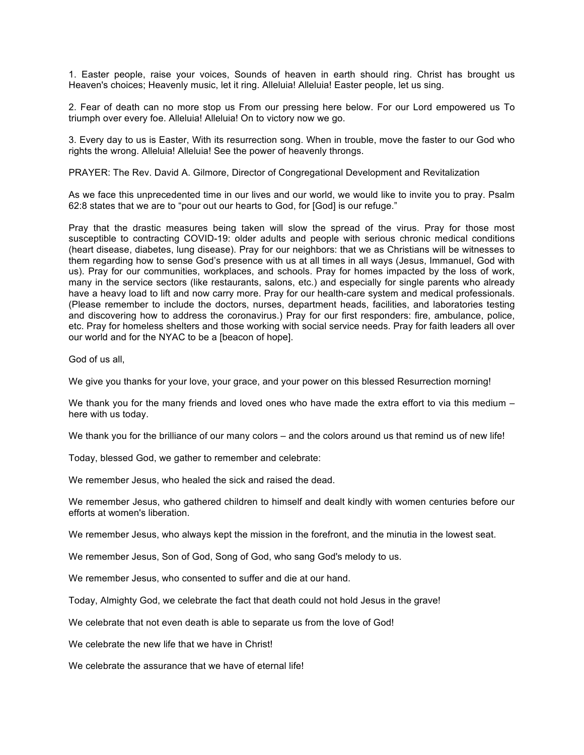1. Easter people, raise your voices, Sounds of heaven in earth should ring. Christ has brought us Heaven's choices; Heavenly music, let it ring. Alleluia! Alleluia! Easter people, let us sing.

2. Fear of death can no more stop us From our pressing here below. For our Lord empowered us To triumph over every foe. Alleluia! Alleluia! On to victory now we go.

3. Every day to us is Easter, With its resurrection song. When in trouble, move the faster to our God who rights the wrong. Alleluia! Alleluia! See the power of heavenly throngs.

PRAYER: The Rev. David A. Gilmore, Director of Congregational Development and Revitalization

As we face this unprecedented time in our lives and our world, we would like to invite you to pray. Psalm 62:8 states that we are to "pour out our hearts to God, for [God] is our refuge."

Pray that the drastic measures being taken will slow the spread of the virus. Pray for those most susceptible to contracting COVID-19: older adults and people with serious chronic medical conditions (heart disease, diabetes, lung disease). Pray for our neighbors: that we as Christians will be witnesses to them regarding how to sense God's presence with us at all times in all ways (Jesus, Immanuel, God with us). Pray for our communities, workplaces, and schools. Pray for homes impacted by the loss of work, many in the service sectors (like restaurants, salons, etc.) and especially for single parents who already have a heavy load to lift and now carry more. Pray for our health-care system and medical professionals. (Please remember to include the doctors, nurses, department heads, facilities, and laboratories testing and discovering how to address the coronavirus.) Pray for our first responders: fire, ambulance, police, etc. Pray for homeless shelters and those working with social service needs. Pray for faith leaders all over our world and for the NYAC to be a Ibeacon of hopel.

God of us all,

We give you thanks for your love, your grace, and your power on this blessed Resurrection morning!

We thank you for the many friends and loved ones who have made the extra effort to via this medium – here with us today.

We thank you for the brilliance of our many colors – and the colors around us that remind us of new life!

Today, blessed God, we gather to remember and celebrate:

We remember Jesus, who healed the sick and raised the dead.

We remember Jesus, who gathered children to himself and dealt kindly with women centuries before our efforts at women's liberation.

We remember Jesus, who always kept the mission in the forefront, and the minutia in the lowest seat.

We remember Jesus, Son of God, Song of God, who sang God's melody to us.

We remember Jesus, who consented to suffer and die at our hand.

Today, Almighty God, we celebrate the fact that death could not hold Jesus in the grave!

We celebrate that not even death is able to separate us from the love of God!

We celebrate the new life that we have in Christ!

We celebrate the assurance that we have of eternal life!